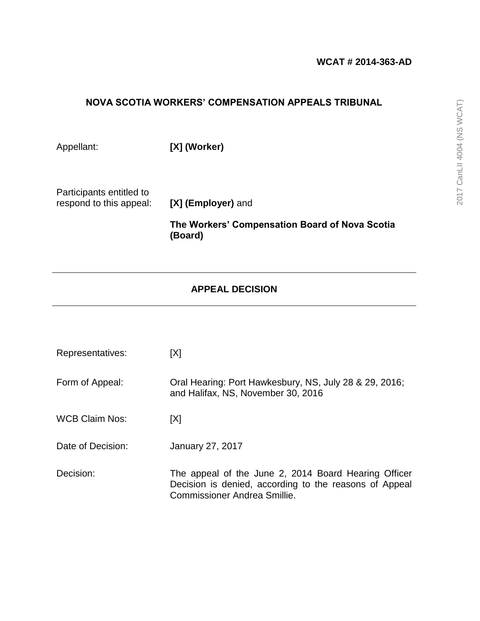## **NOVA SCOTIA WORKERS' COMPENSATION APPEALS TRIBUNAL**

Appellant: **[X] (Worker)**

Participants entitled to respond to this appeal: **[X] (Employer)** and

**The Workers' Compensation Board of Nova Scotia (Board)**

# **APPEAL DECISION**

| Representatives:      | [X]                                                                                                                                            |
|-----------------------|------------------------------------------------------------------------------------------------------------------------------------------------|
| Form of Appeal:       | Oral Hearing: Port Hawkesbury, NS, July 28 & 29, 2016;<br>and Halifax, NS, November 30, 2016                                                   |
| <b>WCB Claim Nos:</b> | [X]                                                                                                                                            |
| Date of Decision:     | <b>January 27, 2017</b>                                                                                                                        |
| Decision:             | The appeal of the June 2, 2014 Board Hearing Officer<br>Decision is denied, according to the reasons of Appeal<br>Commissioner Andrea Smillie. |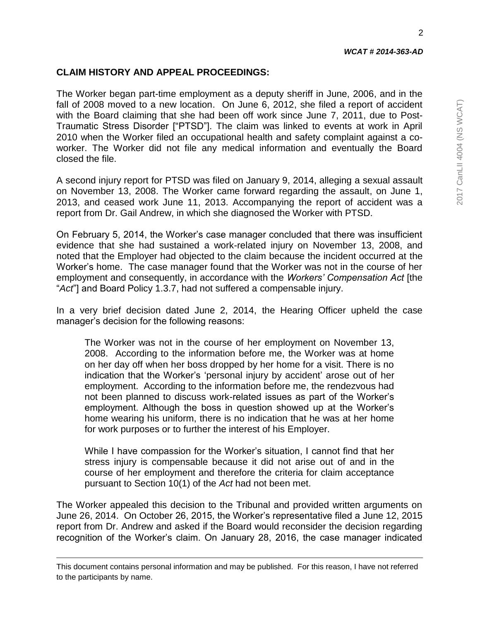2

### **CLAIM HISTORY AND APPEAL PROCEEDINGS:**

The Worker began part-time employment as a deputy sheriff in June, 2006, and in the fall of 2008 moved to a new location. On June 6, 2012, she filed a report of accident with the Board claiming that she had been off work since June 7, 2011, due to Post-Traumatic Stress Disorder ["PTSD"]. The claim was linked to events at work in April 2010 when the Worker filed an occupational health and safety complaint against a coworker. The Worker did not file any medical information and eventually the Board closed the file.

A second injury report for PTSD was filed on January 9, 2014, alleging a sexual assault on November 13, 2008. The Worker came forward regarding the assault, on June 1, 2013, and ceased work June 11, 2013. Accompanying the report of accident was a report from Dr. Gail Andrew, in which she diagnosed the Worker with PTSD.

On February 5, 2014, the Worker's case manager concluded that there was insufficient evidence that she had sustained a work-related injury on November 13, 2008, and noted that the Employer had objected to the claim because the incident occurred at the Worker's home. The case manager found that the Worker was not in the course of her employment and consequently, in accordance with the *Workers' Compensation Act* [the "*Act*"] and Board Policy 1.3.7, had not suffered a compensable injury.

In a very brief decision dated June 2, 2014, the Hearing Officer upheld the case manager's decision for the following reasons:

The Worker was not in the course of her employment on November 13, 2008. According to the information before me, the Worker was at home on her day off when her boss dropped by her home for a visit. There is no indication that the Worker's 'personal injury by accident' arose out of her employment. According to the information before me, the rendezvous had not been planned to discuss work-related issues as part of the Worker's employment. Although the boss in question showed up at the Worker's home wearing his uniform, there is no indication that he was at her home for work purposes or to further the interest of his Employer.

While I have compassion for the Worker's situation, I cannot find that her stress injury is compensable because it did not arise out of and in the course of her employment and therefore the criteria for claim acceptance pursuant to Section 10(1) of the *Act* had not been met.

The Worker appealed this decision to the Tribunal and provided written arguments on June 26, 2014. On October 26, 2015, the Worker's representative filed a June 12, 2015 report from Dr. Andrew and asked if the Board would reconsider the decision regarding recognition of the Worker's claim. On January 28, 2016, the case manager indicated

This document contains personal information and may be published. For this reason, I have not referred to the participants by name.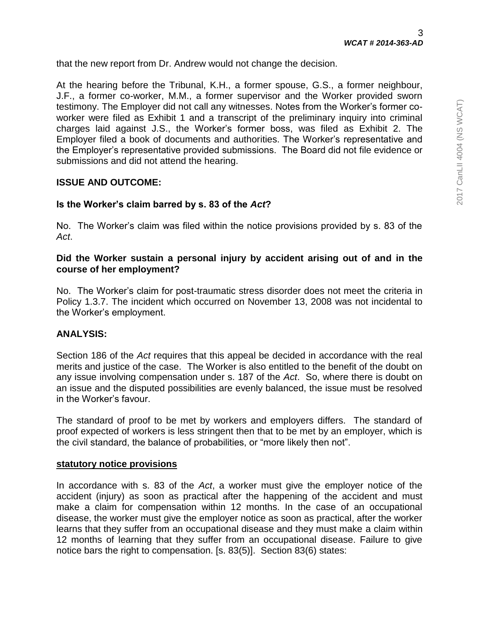that the new report from Dr. Andrew would not change the decision.

At the hearing before the Tribunal, K.H., a former spouse, G.S., a former neighbour, J.F., a former co-worker, M.M., a former supervisor and the Worker provided sworn testimony. The Employer did not call any witnesses. Notes from the Worker's former coworker were filed as Exhibit 1 and a transcript of the preliminary inquiry into criminal charges laid against J.S., the Worker's former boss, was filed as Exhibit 2. The Employer filed a book of documents and authorities. The Worker's representative and the Employer's representative provided submissions. The Board did not file evidence or submissions and did not attend the hearing.

### **ISSUE AND OUTCOME:**

### **1. Is the Worker's claim barred by s. 83 of the** *Act***?**

No. The Worker's claim was filed within the notice provisions provided by s. 83 of the *Act*.

### **2. Did the Worker sustain a personal injury by accident arising out of and in the course of her employment?**

No. The Worker's claim for post-traumatic stress disorder does not meet the criteria in Policy 1.3.7. The incident which occurred on November 13, 2008 was not incidental to the Worker's employment.

### **ANALYSIS:**

Section 186 of the *Act* requires that this appeal be decided in accordance with the real merits and justice of the case. The Worker is also entitled to the benefit of the doubt on any issue involving compensation under s. 187 of the *Act*. So, where there is doubt on an issue and the disputed possibilities are evenly balanced, the issue must be resolved in the Worker's favour.

The standard of proof to be met by workers and employers differs. The standard of proof expected of workers is less stringent then that to be met by an employer, which is the civil standard, the balance of probabilities, or "more likely then not".

### **statutory notice provisions**

In accordance with s. 83 of the *Act*, a worker must give the employer notice of the accident (injury) as soon as practical after the happening of the accident and must make a claim for compensation within 12 months. In the case of an occupational disease, the worker must give the employer notice as soon as practical, after the worker learns that they suffer from an occupational disease and they must make a claim within 12 months of learning that they suffer from an occupational disease. Failure to give notice bars the right to compensation. [s. 83(5)]. Section 83(6) states: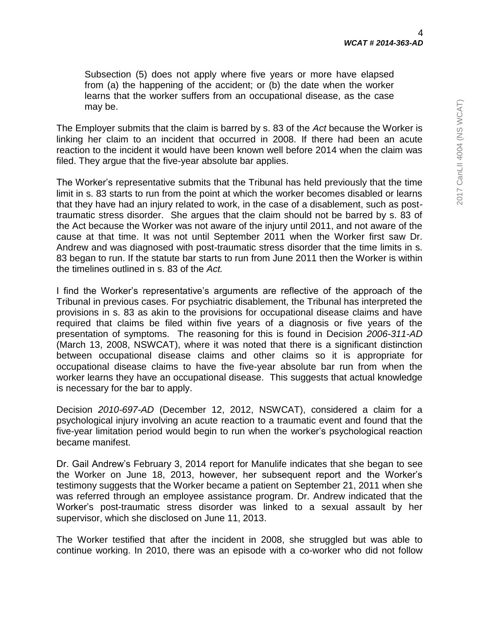4

*WCAT # 2014-363-AD*

Subsection (5) does not apply where five years or more have elapsed from (a) the happening of the accident; or (b) the date when the worker learns that the worker suffers from an occupational disease, as the case may be.

The Employer submits that the claim is barred by s. 83 of the *Act* because the Worker is linking her claim to an incident that occurred in 2008. If there had been an acute reaction to the incident it would have been known well before 2014 when the claim was filed. They argue that the five-year absolute bar applies.

The Worker's representative submits that the Tribunal has held previously that the time limit in s. 83 starts to run from the point at which the worker becomes disabled or learns that they have had an injury related to work, in the case of a disablement, such as posttraumatic stress disorder. She argues that the claim should not be barred by s. 83 of the Act because the Worker was not aware of the injury until 2011, and not aware of the cause at that time. It was not until September 2011 when the Worker first saw Dr. Andrew and was diagnosed with post-traumatic stress disorder that the time limits in s. 83 began to run. If the statute bar starts to run from June 2011 then the Worker is within the timelines outlined in s. 83 of the *Act.*

I find the Worker's representative's arguments are reflective of the approach of the Tribunal in previous cases. For psychiatric disablement, the Tribunal has interpreted the provisions in s. 83 as akin to the provisions for occupational disease claims and have required that claims be filed within five years of a diagnosis or five years of the presentation of symptoms. The reasoning for this is found in Decision *2006-311-AD* (March 13, 2008, NSWCAT), where it was noted that there is a significant distinction between occupational disease claims and other claims so it is appropriate for occupational disease claims to have the five-year absolute bar run from when the worker learns they have an occupational disease. This suggests that actual knowledge is necessary for the bar to apply.

Decision *2010-697-AD* (December 12, 2012, NSWCAT), considered a claim for a psychological injury involving an acute reaction to a traumatic event and found that the five-year limitation period would begin to run when the worker's psychological reaction became manifest.

Dr. Gail Andrew's February 3, 2014 report for Manulife indicates that she began to see the Worker on June 18, 2013, however, her subsequent report and the Worker's testimony suggests that the Worker became a patient on September 21, 2011 when she was referred through an employee assistance program. Dr. Andrew indicated that the Worker's post-traumatic stress disorder was linked to a sexual assault by her supervisor, which she disclosed on June 11, 2013.

The Worker testified that after the incident in 2008, she struggled but was able to continue working. In 2010, there was an episode with a co-worker who did not follow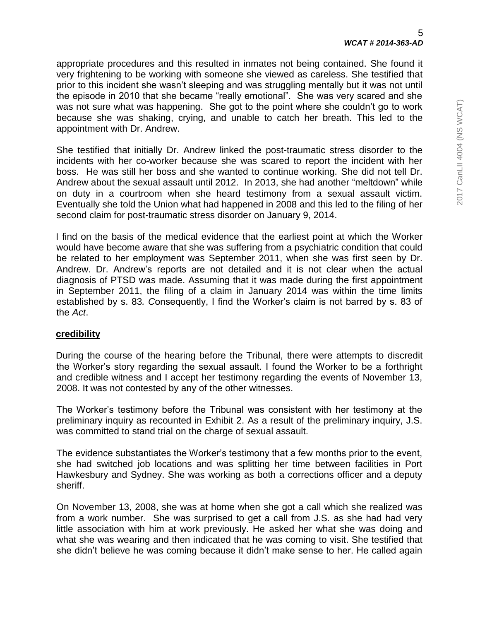appropriate procedures and this resulted in inmates not being contained. She found it very frightening to be working with someone she viewed as careless. She testified that prior to this incident she wasn't sleeping and was struggling mentally but it was not until the episode in 2010 that she became "really emotional". She was very scared and she was not sure what was happening. She got to the point where she couldn't go to work because she was shaking, crying, and unable to catch her breath. This led to the appointment with Dr. Andrew.

She testified that initially Dr. Andrew linked the post-traumatic stress disorder to the incidents with her co-worker because she was scared to report the incident with her boss. He was still her boss and she wanted to continue working. She did not tell Dr. Andrew about the sexual assault until 2012. In 2013, she had another "meltdown" while on duty in a courtroom when she heard testimony from a sexual assault victim. Eventually she told the Union what had happened in 2008 and this led to the filing of her second claim for post-traumatic stress disorder on January 9, 2014.

I find on the basis of the medical evidence that the earliest point at which the Worker would have become aware that she was suffering from a psychiatric condition that could be related to her employment was September 2011, when she was first seen by Dr. Andrew. Dr. Andrew's reports are not detailed and it is not clear when the actual diagnosis of PTSD was made. Assuming that it was made during the first appointment in September 2011, the filing of a claim in January 2014 was within the time limits established by s. 83*. C*onsequently, I find the Worker's claim is not barred by s. 83 of the *Act*.

### **credibility**

During the course of the hearing before the Tribunal, there were attempts to discredit the Worker's story regarding the sexual assault. I found the Worker to be a forthright and credible witness and I accept her testimony regarding the events of November 13, 2008. It was not contested by any of the other witnesses.

The Worker's testimony before the Tribunal was consistent with her testimony at the preliminary inquiry as recounted in Exhibit 2. As a result of the preliminary inquiry, J.S. was committed to stand trial on the charge of sexual assault.

The evidence substantiates the Worker's testimony that a few months prior to the event, she had switched job locations and was splitting her time between facilities in Port Hawkesbury and Sydney. She was working as both a corrections officer and a deputy sheriff.

On November 13, 2008, she was at home when she got a call which she realized was from a work number. She was surprised to get a call from J.S. as she had had very little association with him at work previously. He asked her what she was doing and what she was wearing and then indicated that he was coming to visit. She testified that she didn't believe he was coming because it didn't make sense to her. He called again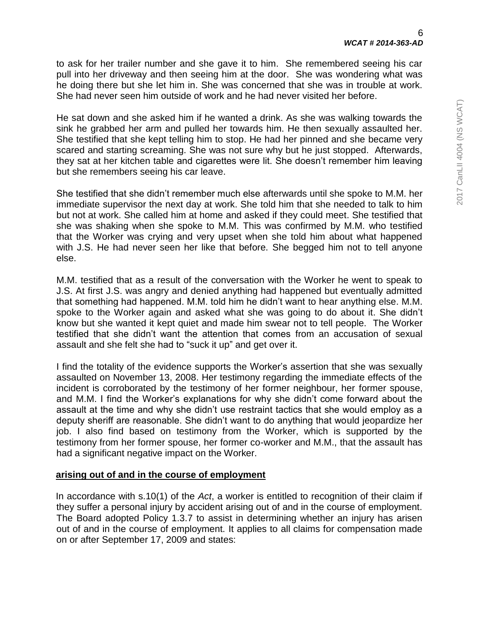to ask for her trailer number and she gave it to him. She remembered seeing his car pull into her driveway and then seeing him at the door. She was wondering what was he doing there but she let him in. She was concerned that she was in trouble at work. She had never seen him outside of work and he had never visited her before.

He sat down and she asked him if he wanted a drink. As she was walking towards the sink he grabbed her arm and pulled her towards him. He then sexually assaulted her. She testified that she kept telling him to stop. He had her pinned and she became very scared and starting screaming. She was not sure why but he just stopped. Afterwards, they sat at her kitchen table and cigarettes were lit. She doesn't remember him leaving but she remembers seeing his car leave.

She testified that she didn't remember much else afterwards until she spoke to M.M. her immediate supervisor the next day at work. She told him that she needed to talk to him but not at work. She called him at home and asked if they could meet. She testified that she was shaking when she spoke to M.M. This was confirmed by M.M. who testified that the Worker was crying and very upset when she told him about what happened with J.S. He had never seen her like that before. She begged him not to tell anyone else.

M.M. testified that as a result of the conversation with the Worker he went to speak to J.S. At first J.S. was angry and denied anything had happened but eventually admitted that something had happened. M.M. told him he didn't want to hear anything else. M.M. spoke to the Worker again and asked what she was going to do about it. She didn't know but she wanted it kept quiet and made him swear not to tell people. The Worker testified that she didn't want the attention that comes from an accusation of sexual assault and she felt she had to "suck it up" and get over it.

I find the totality of the evidence supports the Worker's assertion that she was sexually assaulted on November 13, 2008. Her testimony regarding the immediate effects of the incident is corroborated by the testimony of her former neighbour, her former spouse, and M.M. I find the Worker's explanations for why she didn't come forward about the assault at the time and why she didn't use restraint tactics that she would employ as a deputy sheriff are reasonable. She didn't want to do anything that would jeopardize her job. I also find based on testimony from the Worker, which is supported by the testimony from her former spouse, her former co-worker and M.M., that the assault has had a significant negative impact on the Worker.

#### **arising out of and in the course of employment**

In accordance with s.10(1) of the *Act*, a worker is entitled to recognition of their claim if they suffer a personal injury by accident arising out of and in the course of employment. The Board adopted Policy 1.3.7 to assist in determining whether an injury has arisen out of and in the course of employment. It applies to all claims for compensation made on or after September 17, 2009 and states: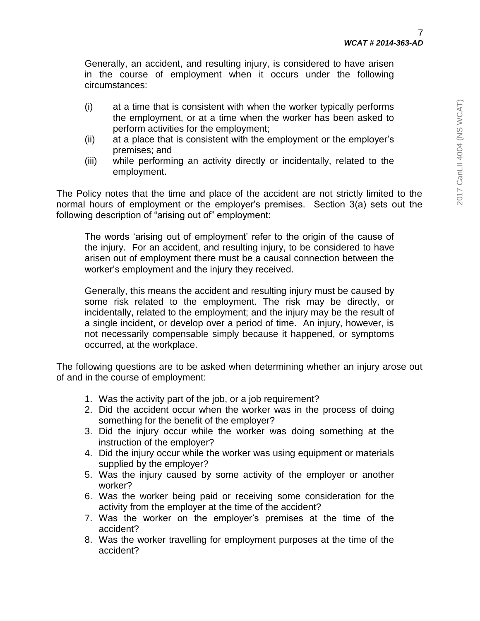Generally, an accident, and resulting injury, is considered to have arisen in the course of employment when it occurs under the following circumstances:

- (i) at a time that is consistent with when the worker typically performs the employment, or at a time when the worker has been asked to perform activities for the employment;
- (ii) at a place that is consistent with the employment or the employer's premises; and
- (iii) while performing an activity directly or incidentally, related to the employment.

The Policy notes that the time and place of the accident are not strictly limited to the normal hours of employment or the employer's premises. Section 3(a) sets out the following description of "arising out of" employment:

The words 'arising out of employment' refer to the origin of the cause of the injury. For an accident, and resulting injury, to be considered to have arisen out of employment there must be a causal connection between the worker's employment and the injury they received.

Generally, this means the accident and resulting injury must be caused by some risk related to the employment. The risk may be directly, or incidentally, related to the employment; and the injury may be the result of a single incident, or develop over a period of time. An injury, however, is not necessarily compensable simply because it happened, or symptoms occurred, at the workplace.

The following questions are to be asked when determining whether an injury arose out of and in the course of employment:

- 1. Was the activity part of the job, or a job requirement?
- 2. Did the accident occur when the worker was in the process of doing something for the benefit of the employer?
- 3. Did the injury occur while the worker was doing something at the instruction of the employer?
- 4. Did the injury occur while the worker was using equipment or materials supplied by the employer?
- 5. Was the injury caused by some activity of the employer or another worker?
- 6. Was the worker being paid or receiving some consideration for the activity from the employer at the time of the accident?
- 7. Was the worker on the employer's premises at the time of the accident?
- 8. Was the worker travelling for employment purposes at the time of the accident?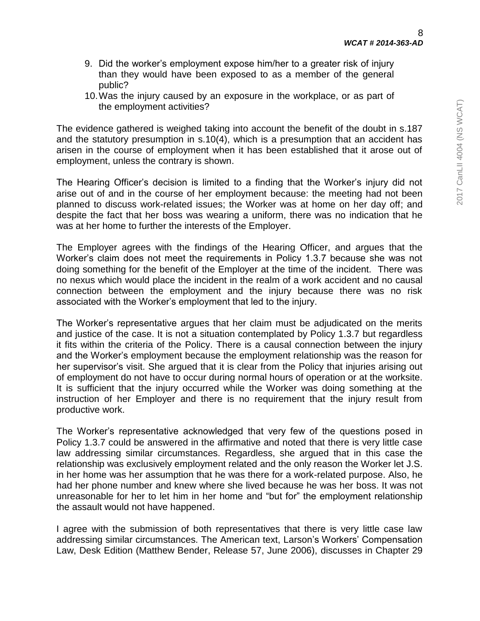- 9. Did the worker's employment expose him/her to a greater risk of injury than they would have been exposed to as a member of the general public?
- 10.Was the injury caused by an exposure in the workplace, or as part of the employment activities?

The evidence gathered is weighed taking into account the benefit of the doubt in s.187 and the statutory presumption in s.10(4), which is a presumption that an accident has arisen in the course of employment when it has been established that it arose out of employment, unless the contrary is shown.

The Hearing Officer's decision is limited to a finding that the Worker's injury did not arise out of and in the course of her employment because: the meeting had not been planned to discuss work-related issues; the Worker was at home on her day off; and despite the fact that her boss was wearing a uniform, there was no indication that he was at her home to further the interests of the Employer.

The Employer agrees with the findings of the Hearing Officer, and argues that the Worker's claim does not meet the requirements in Policy 1.3.7 because she was not doing something for the benefit of the Employer at the time of the incident. There was no nexus which would place the incident in the realm of a work accident and no causal connection between the employment and the injury because there was no risk associated with the Worker's employment that led to the injury.

The Worker's representative argues that her claim must be adjudicated on the merits and justice of the case. It is not a situation contemplated by Policy 1.3.7 but regardless it fits within the criteria of the Policy. There is a causal connection between the injury and the Worker's employment because the employment relationship was the reason for her supervisor's visit. She argued that it is clear from the Policy that injuries arising out of employment do not have to occur during normal hours of operation or at the worksite. It is sufficient that the injury occurred while the Worker was doing something at the instruction of her Employer and there is no requirement that the injury result from productive work.

The Worker's representative acknowledged that very few of the questions posed in Policy 1.3.7 could be answered in the affirmative and noted that there is very little case law addressing similar circumstances. Regardless, she argued that in this case the relationship was exclusively employment related and the only reason the Worker let J.S. in her home was her assumption that he was there for a work-related purpose. Also, he had her phone number and knew where she lived because he was her boss. It was not unreasonable for her to let him in her home and "but for" the employment relationship the assault would not have happened.

I agree with the submission of both representatives that there is very little case law addressing similar circumstances. The American text, Larson's Workers' Compensation Law, Desk Edition (Matthew Bender, Release 57, June 2006), discusses in Chapter 29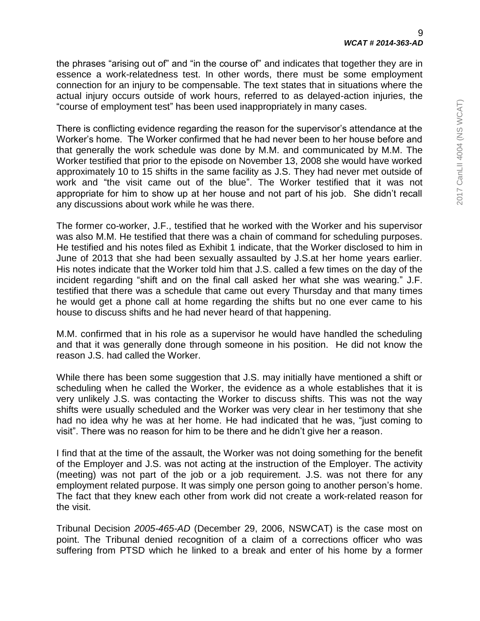the phrases "arising out of" and "in the course of" and indicates that together they are in essence a work-relatedness test. In other words, there must be some employment connection for an injury to be compensable. The text states that in situations where the actual injury occurs outside of work hours, referred to as delayed-action injuries, the "course of employment test" has been used inappropriately in many cases.

There is conflicting evidence regarding the reason for the supervisor's attendance at the Worker's home. The Worker confirmed that he had never been to her house before and that generally the work schedule was done by M.M. and communicated by M.M. The Worker testified that prior to the episode on November 13, 2008 she would have worked approximately 10 to 15 shifts in the same facility as J.S. They had never met outside of work and "the visit came out of the blue". The Worker testified that it was not appropriate for him to show up at her house and not part of his job. She didn't recall any discussions about work while he was there.

The former co-worker, J.F., testified that he worked with the Worker and his supervisor was also M.M. He testified that there was a chain of command for scheduling purposes. He testified and his notes filed as Exhibit 1 indicate, that the Worker disclosed to him in June of 2013 that she had been sexually assaulted by J.S.at her home years earlier. His notes indicate that the Worker told him that J.S. called a few times on the day of the incident regarding "shift and on the final call asked her what she was wearing." J.F. testified that there was a schedule that came out every Thursday and that many times he would get a phone call at home regarding the shifts but no one ever came to his house to discuss shifts and he had never heard of that happening.

M.M. confirmed that in his role as a supervisor he would have handled the scheduling and that it was generally done through someone in his position. He did not know the reason J.S. had called the Worker.

While there has been some suggestion that J.S. may initially have mentioned a shift or scheduling when he called the Worker, the evidence as a whole establishes that it is very unlikely J.S. was contacting the Worker to discuss shifts. This was not the way shifts were usually scheduled and the Worker was very clear in her testimony that she had no idea why he was at her home. He had indicated that he was, "just coming to visit". There was no reason for him to be there and he didn't give her a reason.

I find that at the time of the assault, the Worker was not doing something for the benefit of the Employer and J.S. was not acting at the instruction of the Employer. The activity (meeting) was not part of the job or a job requirement. J.S. was not there for any employment related purpose. It was simply one person going to another person's home. The fact that they knew each other from work did not create a work-related reason for the visit.

Tribunal Decision *2005-465-AD* (December 29, 2006, NSWCAT) is the case most on point. The Tribunal denied recognition of a claim of a corrections officer who was suffering from PTSD which he linked to a break and enter of his home by a former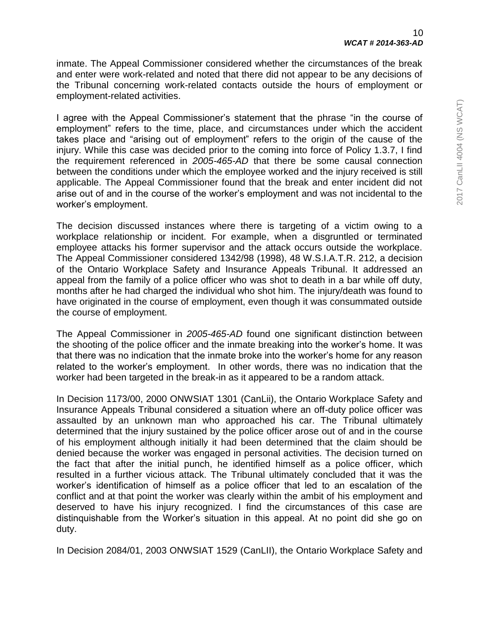inmate. The Appeal Commissioner considered whether the circumstances of the break and enter were work-related and noted that there did not appear to be any decisions of the Tribunal concerning work-related contacts outside the hours of employment or employment-related activities.

I agree with the Appeal Commissioner's statement that the phrase "in the course of employment" refers to the time, place, and circumstances under which the accident takes place and "arising out of employment" refers to the origin of the cause of the injury. While this case was decided prior to the coming into force of Policy 1.3.7, I find the requirement referenced in *2005-465-AD* that there be some causal connection between the conditions under which the employee worked and the injury received is still applicable. The Appeal Commissioner found that the break and enter incident did not arise out of and in the course of the worker's employment and was not incidental to the worker's employment.

The decision discussed instances where there is targeting of a victim owing to a workplace relationship or incident. For example, when a disgruntled or terminated employee attacks his former supervisor and the attack occurs outside the workplace. The Appeal Commissioner considered 1342/98 (1998), 48 W.S.I.A.T.R. 212, a decision of the Ontario Workplace Safety and Insurance Appeals Tribunal. It addressed an appeal from the family of a police officer who was shot to death in a bar while off duty, months after he had charged the individual who shot him. The injury/death was found to have originated in the course of employment, even though it was consummated outside the course of employment.

The Appeal Commissioner in *2005-465-AD* found one significant distinction between the shooting of the police officer and the inmate breaking into the worker's home. It was that there was no indication that the inmate broke into the worker's home for any reason related to the worker's employment. In other words, there was no indication that the worker had been targeted in the break-in as it appeared to be a random attack.

In Decision 1173/00, 2000 ONWSIAT 1301 (CanLii), the Ontario Workplace Safety and Insurance Appeals Tribunal considered a situation where an off-duty police officer was assaulted by an unknown man who approached his car. The Tribunal ultimately determined that the injury sustained by the police officer arose out of and in the course of his employment although initially it had been determined that the claim should be denied because the worker was engaged in personal activities. The decision turned on the fact that after the initial punch, he identified himself as a police officer, which resulted in a further vicious attack. The Tribunal ultimately concluded that it was the worker's identification of himself as a police officer that led to an escalation of the conflict and at that point the worker was clearly within the ambit of his employment and deserved to have his injury recognized. I find the circumstances of this case are distinquishable from the Worker's situation in this appeal. At no point did she go on duty.

In Decision 2084/01, 2003 ONWSIAT 1529 (CanLII), the Ontario Workplace Safety and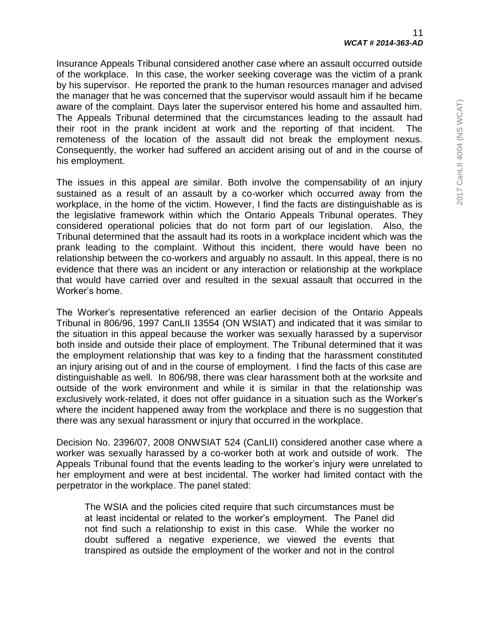Insurance Appeals Tribunal considered another case where an assault occurred outside of the workplace. In this case, the worker seeking coverage was the victim of a prank by his supervisor. He reported the prank to the human resources manager and advised the manager that he was concerned that the supervisor would assault him if he became aware of the complaint. Days later the supervisor entered his home and assaulted him. The Appeals Tribunal determined that the circumstances leading to the assault had their root in the prank incident at work and the reporting of that incident. The remoteness of the location of the assault did not break the employment nexus. Consequently, the worker had suffered an accident arising out of and in the course of his employment.

The issues in this appeal are similar. Both involve the compensability of an injury sustained as a result of an assault by a co-worker which occurred away from the workplace, in the home of the victim. However, I find the facts are distinguishable as is the legislative framework within which the Ontario Appeals Tribunal operates. They considered operational policies that do not form part of our legislation. Also, the Tribunal determined that the assault had its roots in a workplace incident which was the prank leading to the complaint. Without this incident, there would have been no relationship between the co-workers and arguably no assault. In this appeal, there is no evidence that there was an incident or any interaction or relationship at the workplace that would have carried over and resulted in the sexual assault that occurred in the Worker's home.

The Worker's representative referenced an earlier decision of the Ontario Appeals Tribunal in 806/96, 1997 CanLII 13554 (ON WSIAT) and indicated that it was similar to the situation in this appeal because the worker was sexually harassed by a supervisor both inside and outside their place of employment. The Tribunal determined that it was the employment relationship that was key to a finding that the harassment constituted an injury arising out of and in the course of employment. I find the facts of this case are distinguishable as well. In 806/98, there was clear harassment both at the worksite and outside of the work environment and while it is similar in that the relationship was exclusively work-related, it does not offer guidance in a situation such as the Worker's where the incident happened away from the workplace and there is no suggestion that there was any sexual harassment or injury that occurred in the workplace.

Decision No. 2396/07, 2008 ONWSIAT 524 (CanLII) considered another case where a worker was sexually harassed by a co-worker both at work and outside of work. The Appeals Tribunal found that the events leading to the worker's injury were unrelated to her employment and were at best incidental. The worker had limited contact with the perpetrator in the workplace. The panel stated:

The WSIA and the policies cited require that such circumstances must be at least incidental or related to the worker's employment. The Panel did not find such a relationship to exist in this case. While the worker no doubt suffered a negative experience, we viewed the events that transpired as outside the employment of the worker and not in the control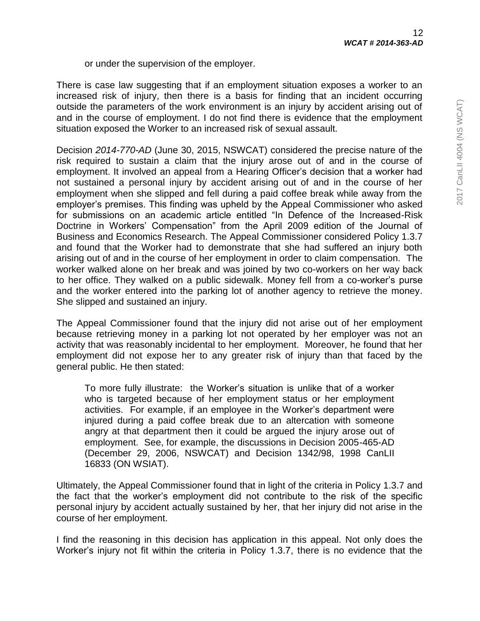or under the supervision of the employer.

There is case law suggesting that if an employment situation exposes a worker to an increased risk of injury, then there is a basis for finding that an incident occurring outside the parameters of the work environment is an injury by accident arising out of and in the course of employment. I do not find there is evidence that the employment situation exposed the Worker to an increased risk of sexual assault.

Decision *2014-770-AD* (June 30, 2015, NSWCAT) considered the precise nature of the risk required to sustain a claim that the injury arose out of and in the course of employment. It involved an appeal from a Hearing Officer's decision that a worker had not sustained a personal injury by accident arising out of and in the course of her employment when she slipped and fell during a paid coffee break while away from the employer's premises. This finding was upheld by the Appeal Commissioner who asked for submissions on an academic article entitled "In Defence of the Increased-Risk Doctrine in Workers' Compensation" from the April 2009 edition of the Journal of Business and Economics Research. The Appeal Commissioner considered Policy 1.3.7 and found that the Worker had to demonstrate that she had suffered an injury both arising out of and in the course of her employment in order to claim compensation. The worker walked alone on her break and was joined by two co-workers on her way back to her office. They walked on a public sidewalk. Money fell from a co-worker's purse and the worker entered into the parking lot of another agency to retrieve the money. She slipped and sustained an injury.

The Appeal Commissioner found that the injury did not arise out of her employment because retrieving money in a parking lot not operated by her employer was not an activity that was reasonably incidental to her employment. Moreover, he found that her employment did not expose her to any greater risk of injury than that faced by the general public. He then stated:

To more fully illustrate: the Worker's situation is unlike that of a worker who is targeted because of her employment status or her employment activities. For example, if an employee in the Worker's department were injured during a paid coffee break due to an altercation with someone angry at that department then it could be argued the injury arose out of employment. See, for example, the discussions in Decision 2005-465-AD (December 29, 2006, NSWCAT) and Decision 1342/98, 1998 CanLII 16833 (ON WSIAT).

Ultimately, the Appeal Commissioner found that in light of the criteria in Policy 1.3.7 and the fact that the worker's employment did not contribute to the risk of the specific personal injury by accident actually sustained by her, that her injury did not arise in the course of her employment.

I find the reasoning in this decision has application in this appeal. Not only does the Worker's injury not fit within the criteria in Policy 1.3.7, there is no evidence that the